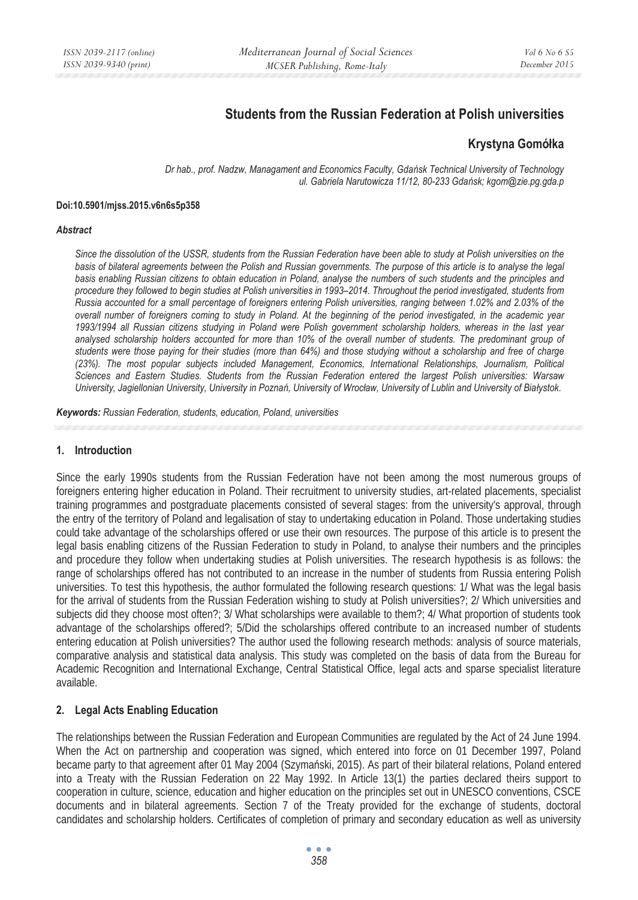# **Students from the Russian Federation at Polish universities**

# **Krystyna Gomóâka**

*Dr hab., prof. Nadzw, Managament and Economics Faculty, GdaĔsk Technical University of Technology ul. Gabriela Narutowicza 11/12, 80-233 GdaĔsk; kgom@zie.pg.gda.p* 

#### **Doi:10.5901/mjss.2015.v6n6s5p358**

#### *Abstract*

*Since the dissolution of the USSR, students from the Russian Federation have been able to study at Polish universities on the basis of bilateral agreements between the Polish and Russian governments. The purpose of this article is to analyse the legal basis enabling Russian citizens to obtain education in Poland, analyse the numbers of such students and the principles and procedure they followed to begin studies at Polish universities in 1993–2014. Throughout the period investigated, students from Russia accounted for a small percentage of foreigners entering Polish universities, ranging between 1.02% and 2.03% of the overall number of foreigners coming to study in Poland. At the beginning of the period investigated, in the academic year 1993/1994 all Russian citizens studying in Poland were Polish government scholarship holders, whereas in the last year*  analysed scholarship holders accounted for more than 10% of the overall number of students. The predominant group of *students were those paying for their studies (more than 64%) and those studying without a scholarship and free of charge (23%). The most popular subjects included Management, Economics, International Relationships, Journalism, Political Sciences and Eastern Studies. Students from the Russian Federation entered the largest Polish universities: Warsaw University, Jagiellonian University, University in Poznań, University of Wrocław, University of Lublin and University of Białystok.* 

*Keywords: Russian Federation, students, education, Poland, universities* 

## **1. Introduction**

Since the early 1990s students from the Russian Federation have not been among the most numerous groups of foreigners entering higher education in Poland. Their recruitment to university studies, art-related placements, specialist training programmes and postgraduate placements consisted of several stages: from the university's approval, through the entry of the territory of Poland and legalisation of stay to undertaking education in Poland. Those undertaking studies could take advantage of the scholarships offered or use their own resources. The purpose of this article is to present the legal basis enabling citizens of the Russian Federation to study in Poland, to analyse their numbers and the principles and procedure they follow when undertaking studies at Polish universities. The research hypothesis is as follows: the range of scholarships offered has not contributed to an increase in the number of students from Russia entering Polish universities. To test this hypothesis, the author formulated the following research questions: 1/ What was the legal basis for the arrival of students from the Russian Federation wishing to study at Polish universities?; 2/ Which universities and subjects did they choose most often?; 3/ What scholarships were available to them?; 4/ What proportion of students took advantage of the scholarships offered?; 5/Did the scholarships offered contribute to an increased number of students entering education at Polish universities? The author used the following research methods: analysis of source materials, comparative analysis and statistical data analysis. This study was completed on the basis of data from the Bureau for Academic Recognition and International Exchange, Central Statistical Office, legal acts and sparse specialist literature available.

# **2. Legal Acts Enabling Education**

The relationships between the Russian Federation and European Communities are regulated by the Act of 24 June 1994. When the Act on partnership and cooperation was signed, which entered into force on 01 December 1997, Poland became party to that agreement after 01 May 2004 (Szymański, 2015). As part of their bilateral relations, Poland entered into a Treaty with the Russian Federation on 22 May 1992. In Article 13(1) the parties declared theirs support to cooperation in culture, science, education and higher education on the principles set out in UNESCO conventions, CSCE documents and in bilateral agreements. Section 7 of the Treaty provided for the exchange of students, doctoral candidates and scholarship holders. Certificates of completion of primary and secondary education as well as university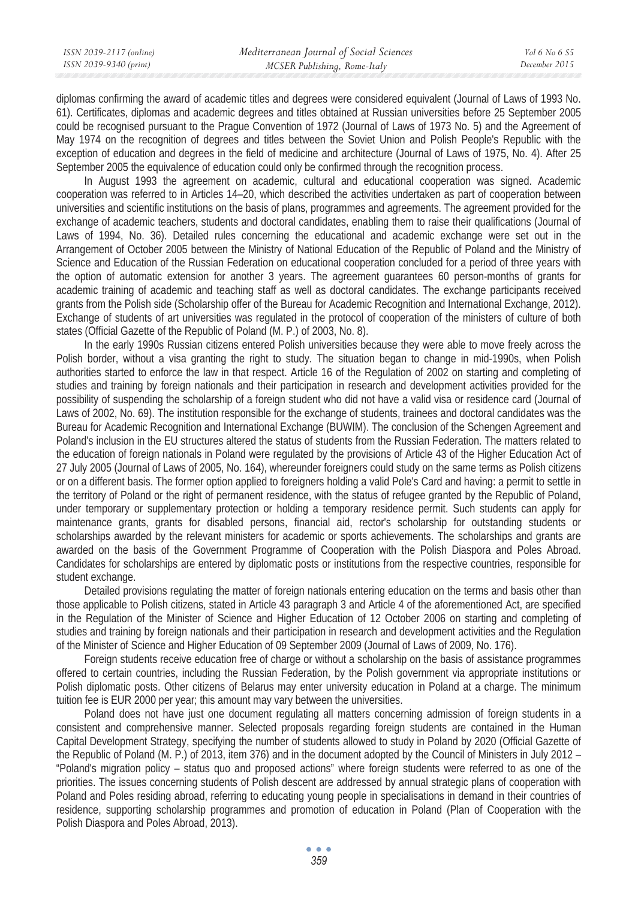| ISSN 2039-2117 (online) | Mediterranean Journal of Social Sciences | <i>Vol</i> 6 No 6 S5 |
|-------------------------|------------------------------------------|----------------------|
| ISSN 2039-9340 (print)  | MCSER Publishing, Rome-Italy             | December 2015        |

diplomas confirming the award of academic titles and degrees were considered equivalent (Journal of Laws of 1993 No. 61). Certificates, diplomas and academic degrees and titles obtained at Russian universities before 25 September 2005 could be recognised pursuant to the Prague Convention of 1972 (Journal of Laws of 1973 No. 5) and the Agreement of May 1974 on the recognition of degrees and titles between the Soviet Union and Polish People's Republic with the exception of education and degrees in the field of medicine and architecture (Journal of Laws of 1975, No. 4). After 25 September 2005 the equivalence of education could only be confirmed through the recognition process.

In August 1993 the agreement on academic, cultural and educational cooperation was signed. Academic cooperation was referred to in Articles 14–20, which described the activities undertaken as part of cooperation between universities and scientific institutions on the basis of plans, programmes and agreements. The agreement provided for the exchange of academic teachers, students and doctoral candidates, enabling them to raise their qualifications (Journal of Laws of 1994, No. 36). Detailed rules concerning the educational and academic exchange were set out in the Arrangement of October 2005 between the Ministry of National Education of the Republic of Poland and the Ministry of Science and Education of the Russian Federation on educational cooperation concluded for a period of three years with the option of automatic extension for another 3 years. The agreement guarantees 60 person-months of grants for academic training of academic and teaching staff as well as doctoral candidates. The exchange participants received grants from the Polish side (Scholarship offer of the Bureau for Academic Recognition and International Exchange, 2012). Exchange of students of art universities was regulated in the protocol of cooperation of the ministers of culture of both states (Official Gazette of the Republic of Poland (M. P.) of 2003, No. 8).

In the early 1990s Russian citizens entered Polish universities because they were able to move freely across the Polish border, without a visa granting the right to study. The situation began to change in mid-1990s, when Polish authorities started to enforce the law in that respect. Article 16 of the Regulation of 2002 on starting and completing of studies and training by foreign nationals and their participation in research and development activities provided for the possibility of suspending the scholarship of a foreign student who did not have a valid visa or residence card (Journal of Laws of 2002, No. 69). The institution responsible for the exchange of students, trainees and doctoral candidates was the Bureau for Academic Recognition and International Exchange (BUWIM). The conclusion of the Schengen Agreement and Poland's inclusion in the EU structures altered the status of students from the Russian Federation. The matters related to the education of foreign nationals in Poland were regulated by the provisions of Article 43 of the Higher Education Act of 27 July 2005 (Journal of Laws of 2005, No. 164), whereunder foreigners could study on the same terms as Polish citizens or on a different basis. The former option applied to foreigners holding a valid Pole's Card and having: a permit to settle in the territory of Poland or the right of permanent residence, with the status of refugee granted by the Republic of Poland, under temporary or supplementary protection or holding a temporary residence permit. Such students can apply for maintenance grants, grants for disabled persons, financial aid, rector's scholarship for outstanding students or scholarships awarded by the relevant ministers for academic or sports achievements. The scholarships and grants are awarded on the basis of the Government Programme of Cooperation with the Polish Diaspora and Poles Abroad. Candidates for scholarships are entered by diplomatic posts or institutions from the respective countries, responsible for student exchange.

Detailed provisions regulating the matter of foreign nationals entering education on the terms and basis other than those applicable to Polish citizens, stated in Article 43 paragraph 3 and Article 4 of the aforementioned Act, are specified in the Regulation of the Minister of Science and Higher Education of 12 October 2006 on starting and completing of studies and training by foreign nationals and their participation in research and development activities and the Regulation of the Minister of Science and Higher Education of 09 September 2009 (Journal of Laws of 2009, No. 176).

Foreign students receive education free of charge or without a scholarship on the basis of assistance programmes offered to certain countries, including the Russian Federation, by the Polish government via appropriate institutions or Polish diplomatic posts. Other citizens of Belarus may enter university education in Poland at a charge. The minimum tuition fee is EUR 2000 per year; this amount may vary between the universities.

Poland does not have just one document regulating all matters concerning admission of foreign students in a consistent and comprehensive manner. Selected proposals regarding foreign students are contained in the Human Capital Development Strategy, specifying the number of students allowed to study in Poland by 2020 (Official Gazette of the Republic of Poland (M. P.) of 2013, item 376) and in the document adopted by the Council of Ministers in July 2012 – "Poland's migration policy – status quo and proposed actions" where foreign students were referred to as one of the priorities. The issues concerning students of Polish descent are addressed by annual strategic plans of cooperation with Poland and Poles residing abroad, referring to educating young people in specialisations in demand in their countries of residence, supporting scholarship programmes and promotion of education in Poland (Plan of Cooperation with the Polish Diaspora and Poles Abroad, 2013).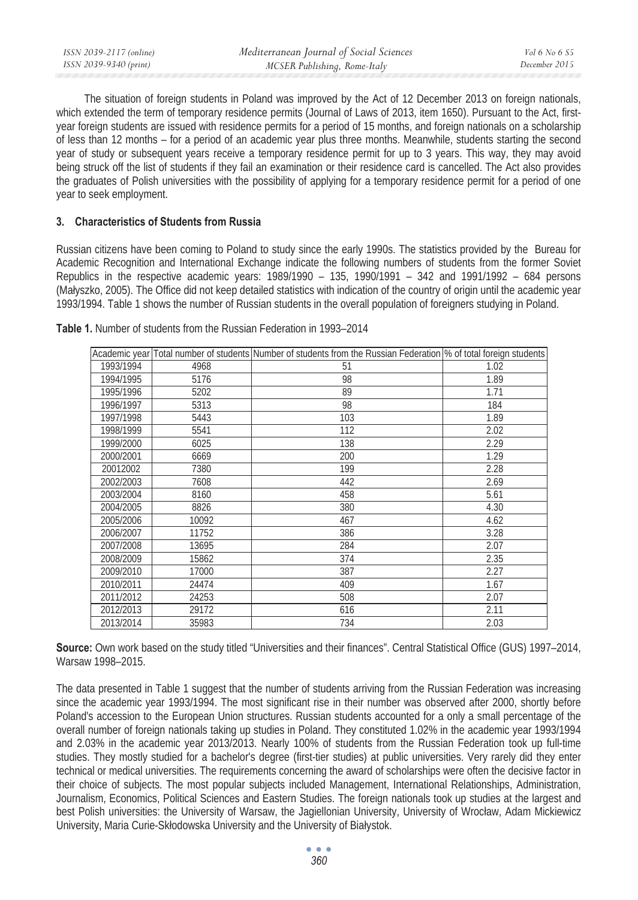| ISSN 2039-2117 (online) | Mediterranean Journal of Social Sciences | Vol 6 No 6 S5 |
|-------------------------|------------------------------------------|---------------|
| ISSN 2039-9340 (print)  | MCSER Publishing, Rome-Italy             | December 2015 |

The situation of foreign students in Poland was improved by the Act of 12 December 2013 on foreign nationals, which extended the term of temporary residence permits (Journal of Laws of 2013, item 1650). Pursuant to the Act, firstyear foreign students are issued with residence permits for a period of 15 months, and foreign nationals on a scholarship of less than 12 months – for a period of an academic year plus three months. Meanwhile, students starting the second year of study or subsequent years receive a temporary residence permit for up to 3 years. This way, they may avoid being struck off the list of students if they fail an examination or their residence card is cancelled. The Act also provides the graduates of Polish universities with the possibility of applying for a temporary residence permit for a period of one year to seek employment.

### **3. Characteristics of Students from Russia**

Russian citizens have been coming to Poland to study since the early 1990s. The statistics provided by the Bureau for Academic Recognition and International Exchange indicate the following numbers of students from the former Soviet Republics in the respective academic years: 1989/1990 – 135, 1990/1991 – 342 and 1991/1992 – 684 persons (Małyszko, 2005). The Office did not keep detailed statistics with indication of the country of origin until the academic year 1993/1994. Table 1 shows the number of Russian students in the overall population of foreigners studying in Poland.

|           |       | Academic year Total number of students Number of students from the Russian Federation % of total foreign students |      |
|-----------|-------|-------------------------------------------------------------------------------------------------------------------|------|
| 1993/1994 | 4968  | 51                                                                                                                | 1.02 |
| 1994/1995 | 5176  | 98                                                                                                                | 1.89 |
| 1995/1996 | 5202  | 89                                                                                                                | 1.71 |
| 1996/1997 | 5313  | 98                                                                                                                | 184  |
| 1997/1998 | 5443  | 103                                                                                                               | 1.89 |
| 1998/1999 | 5541  | 112                                                                                                               | 2.02 |
| 1999/2000 | 6025  | 138                                                                                                               | 2.29 |
| 2000/2001 | 6669  | 200                                                                                                               | 1.29 |
| 20012002  | 7380  | 199                                                                                                               | 2.28 |
| 2002/2003 | 7608  | 442                                                                                                               | 2.69 |
| 2003/2004 | 8160  | 458                                                                                                               | 5.61 |
| 2004/2005 | 8826  | 380                                                                                                               | 4.30 |
| 2005/2006 | 10092 | 467                                                                                                               | 4.62 |
| 2006/2007 | 11752 | 386                                                                                                               | 3.28 |
| 2007/2008 | 13695 | 284                                                                                                               | 2.07 |
| 2008/2009 | 15862 | 374                                                                                                               | 2.35 |
| 2009/2010 | 17000 | 387                                                                                                               | 2.27 |
| 2010/2011 | 24474 | 409                                                                                                               | 1.67 |
| 2011/2012 | 24253 | 508                                                                                                               | 2.07 |
| 2012/2013 | 29172 | 616                                                                                                               | 2.11 |
| 2013/2014 | 35983 | 734                                                                                                               | 2.03 |

**Table 1.** Number of students from the Russian Federation in 1993–2014

**Source:** Own work based on the study titled "Universities and their finances". Central Statistical Office (GUS) 1997–2014, Warsaw 1998–2015.

The data presented in Table 1 suggest that the number of students arriving from the Russian Federation was increasing since the academic year 1993/1994. The most significant rise in their number was observed after 2000, shortly before Poland's accession to the European Union structures. Russian students accounted for a only a small percentage of the overall number of foreign nationals taking up studies in Poland. They constituted 1.02% in the academic year 1993/1994 and 2.03% in the academic year 2013/2013. Nearly 100% of students from the Russian Federation took up full-time studies. They mostly studied for a bachelor's degree (first-tier studies) at public universities. Very rarely did they enter technical or medical universities. The requirements concerning the award of scholarships were often the decisive factor in their choice of subjects. The most popular subjects included Management, International Relationships, Administration, Journalism, Economics, Political Sciences and Eastern Studies. The foreign nationals took up studies at the largest and best Polish universities: the University of Warsaw, the Jagiellonian University, University of Wrocáaw, Adam Mickiewicz University, Maria Curie-Skłodowska University and the University of Białystok.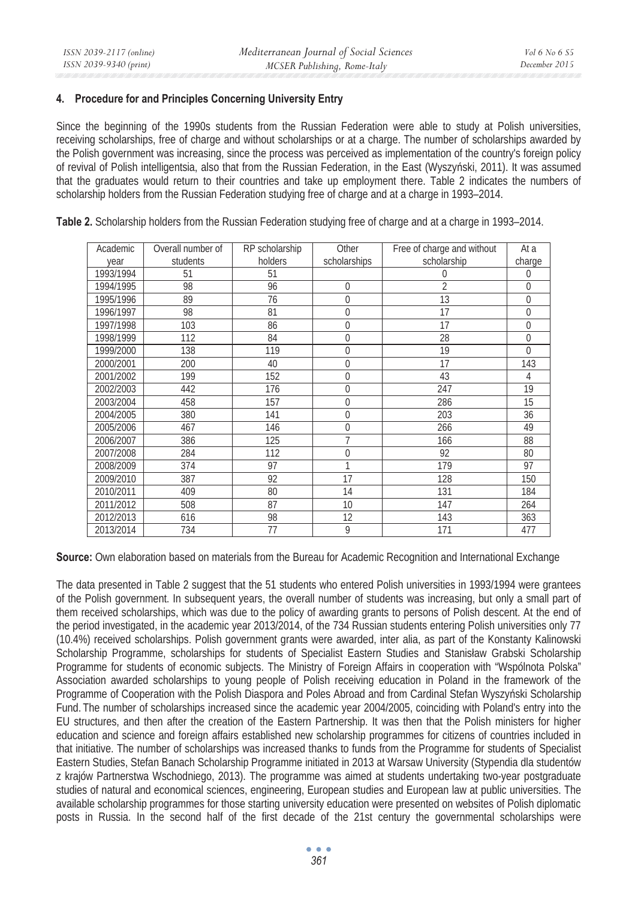# **4. Procedure for and Principles Concerning University Entry**

Since the beginning of the 1990s students from the Russian Federation were able to study at Polish universities, receiving scholarships, free of charge and without scholarships or at a charge. The number of scholarships awarded by the Polish government was increasing, since the process was perceived as implementation of the country's foreign policy of revival of Polish intelligentsia, also that from the Russian Federation, in the East (Wyszyński, 2011). It was assumed that the graduates would return to their countries and take up employment there. Table 2 indicates the numbers of scholarship holders from the Russian Federation studying free of charge and at a charge in 1993–2014.

| Academic  | Overall number of | RP scholarship | Other        | Free of charge and without | At a           |
|-----------|-------------------|----------------|--------------|----------------------------|----------------|
| year      | students          | holders        | scholarships | scholarship                | charge         |
| 1993/1994 | 51                | 51             |              | 0                          | 0              |
| 1994/1995 | 98                | 96             | 0            | $\overline{2}$             | 0              |
| 1995/1996 | 89                | 76             | 0            | 13                         | $\overline{0}$ |
| 1996/1997 | 98                | 81             | 0            | 17                         | 0              |
| 1997/1998 | 103               | 86             | 0            | 17                         | $\Omega$       |
| 1998/1999 | 112               | 84             | 0            | 28                         | $\Omega$       |
| 1999/2000 | 138               | 119            | 0            | 19                         | $\overline{0}$ |
| 2000/2001 | 200               | 40             | 0            | 17                         | 143            |
| 2001/2002 | 199               | 152            | 0            | 43                         | 4              |
| 2002/2003 | 442               | 176            | 0            | 247                        | 19             |
| 2003/2004 | 458               | 157            | 0            | 286                        | 15             |
| 2004/2005 | 380               | 141            | 0            | 203                        | 36             |
| 2005/2006 | 467               | 146            | 0            | 266                        | 49             |
| 2006/2007 | 386               | 125            | 7            | 166                        | 88             |
| 2007/2008 | 284               | 112            | 0            | 92                         | 80             |
| 2008/2009 | 374               | 97             | 1            | 179                        | 97             |
| 2009/2010 | 387               | 92             | 17           | 128                        | 150            |
| 2010/2011 | 409               | 80             | 14           | 131                        | 184            |
| 2011/2012 | 508               | 87             | 10           | 147                        | 264            |
| 2012/2013 | 616               | 98             | 12           | 143                        | 363            |
| 2013/2014 | 734               | 77             | 9            | 171                        | 477            |

**Table 2.** Scholarship holders from the Russian Federation studying free of charge and at a charge in 1993–2014.

**Source:** Own elaboration based on materials from the Bureau for Academic Recognition and International Exchange

The data presented in Table 2 suggest that the 51 students who entered Polish universities in 1993/1994 were grantees of the Polish government. In subsequent years, the overall number of students was increasing, but only a small part of them received scholarships, which was due to the policy of awarding grants to persons of Polish descent. At the end of the period investigated, in the academic year 2013/2014, of the 734 Russian students entering Polish universities only 77 (10.4%) received scholarships. Polish government grants were awarded, inter alia, as part of the Konstanty Kalinowski Scholarship Programme, scholarships for students of Specialist Eastern Studies and Stanisáaw Grabski Scholarship Programme for students of economic subjects. The Ministry of Foreign Affairs in cooperation with "Wspólnota Polska" Association awarded scholarships to young people of Polish receiving education in Poland in the framework of the Programme of Cooperation with the Polish Diaspora and Poles Abroad and from Cardinal Stefan Wyszyński Scholarship Fund. The number of scholarships increased since the academic year 2004/2005, coinciding with Poland's entry into the EU structures, and then after the creation of the Eastern Partnership. It was then that the Polish ministers for higher education and science and foreign affairs established new scholarship programmes for citizens of countries included in that initiative. The number of scholarships was increased thanks to funds from the Programme for students of Specialist Eastern Studies, Stefan Banach Scholarship Programme initiated in 2013 at Warsaw University (Stypendia dla studentów z krajów Partnerstwa Wschodniego, 2013). The programme was aimed at students undertaking two-year postgraduate studies of natural and economical sciences, engineering, European studies and European law at public universities. The available scholarship programmes for those starting university education were presented on websites of Polish diplomatic posts in Russia. In the second half of the first decade of the 21st century the governmental scholarships were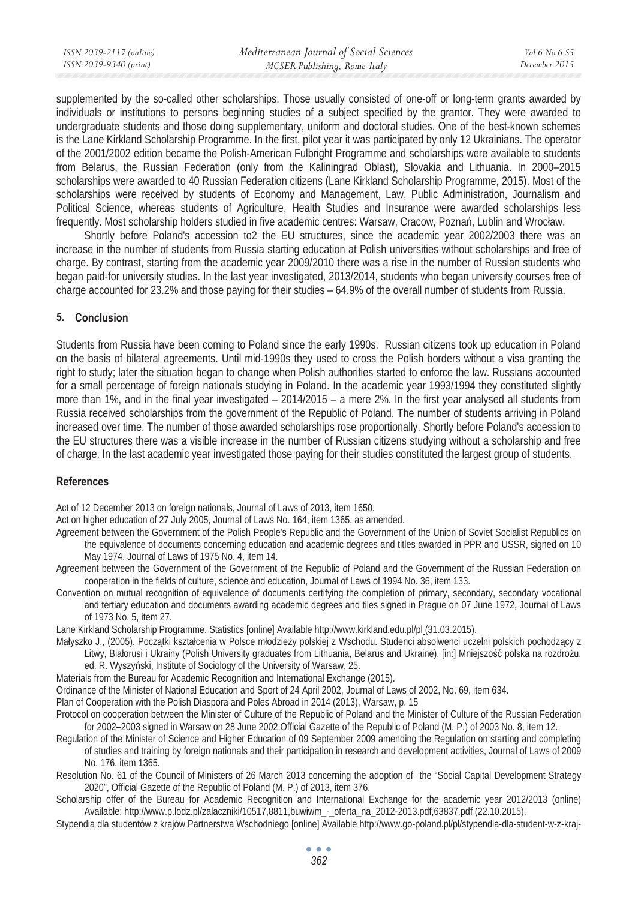| ISSN 2039-2117 (online) | Mediterranean Journal of Social Sciences | <i>Vol</i> 6 No 6 S5 |
|-------------------------|------------------------------------------|----------------------|
| ISSN 2039-9340 (print)  | MCSER Publishing, Rome-Italy             | December 2015        |
|                         |                                          |                      |

supplemented by the so-called other scholarships. Those usually consisted of one-off or long-term grants awarded by individuals or institutions to persons beginning studies of a subject specified by the grantor. They were awarded to undergraduate students and those doing supplementary, uniform and doctoral studies. One of the best-known schemes is the Lane Kirkland Scholarship Programme. In the first, pilot year it was participated by only 12 Ukrainians. The operator of the 2001/2002 edition became the Polish-American Fulbright Programme and scholarships were available to students from Belarus, the Russian Federation (only from the Kaliningrad Oblast), Slovakia and Lithuania. In 2000–2015 scholarships were awarded to 40 Russian Federation citizens (Lane Kirkland Scholarship Programme, 2015). Most of the scholarships were received by students of Economy and Management, Law, Public Administration, Journalism and Political Science, whereas students of Agriculture, Health Studies and Insurance were awarded scholarships less frequently. Most scholarship holders studied in five academic centres: Warsaw, Cracow, Poznań, Lublin and Wrocław.

Shortly before Poland's accession to2 the EU structures, since the academic year 2002/2003 there was an increase in the number of students from Russia starting education at Polish universities without scholarships and free of charge. By contrast, starting from the academic year 2009/2010 there was a rise in the number of Russian students who began paid-for university studies. In the last year investigated, 2013/2014, students who began university courses free of charge accounted for 23.2% and those paying for their studies – 64.9% of the overall number of students from Russia.

# **5. Conclusion**

Students from Russia have been coming to Poland since the early 1990s. Russian citizens took up education in Poland on the basis of bilateral agreements. Until mid-1990s they used to cross the Polish borders without a visa granting the right to study; later the situation began to change when Polish authorities started to enforce the law. Russians accounted for a small percentage of foreign nationals studying in Poland. In the academic year 1993/1994 they constituted slightly more than 1%, and in the final year investigated – 2014/2015 – a mere 2%. In the first year analysed all students from Russia received scholarships from the government of the Republic of Poland. The number of students arriving in Poland increased over time. The number of those awarded scholarships rose proportionally. Shortly before Poland's accession to the EU structures there was a visible increase in the number of Russian citizens studying without a scholarship and free of charge. In the last academic year investigated those paying for their studies constituted the largest group of students.

## **References**

Act of 12 December 2013 on foreign nationals, Journal of Laws of 2013, item 1650.

Act on higher education of 27 July 2005, Journal of Laws No. 164, item 1365, as amended.

- Agreement between the Government of the Polish People's Republic and the Government of the Union of Soviet Socialist Republics on the equivalence of documents concerning education and academic degrees and titles awarded in PPR and USSR, signed on 10 May 1974. Journal of Laws of 1975 No. 4, item 14.
- Agreement between the Government of the Government of the Republic of Poland and the Government of the Russian Federation on cooperation in the fields of culture, science and education, Journal of Laws of 1994 No. 36, item 133.
- Convention on mutual recognition of equivalence of documents certifying the completion of primary, secondary, secondary vocational and tertiary education and documents awarding academic degrees and tiles signed in Prague on 07 June 1972, Journal of Laws of 1973 No. 5, item 27.

Lane Kirkland Scholarship Programme. Statistics [online] Available http://www.kirkland.edu.pl/pl (31.03.2015).

Małyszko J., (2005). Początki kształcenia w Polsce młodzieży polskiej z Wschodu. Studenci absolwenci uczelni polskich pochodzący z Litwy, Białorusi i Ukrainy (Polish University graduates from Lithuania, Belarus and Ukraine), [in:] Mniejszość polska na rozdrożu,

- ed. R. Wyszyński, Institute of Sociology of the University of Warsaw, 25.
- Materials from the Bureau for Academic Recognition and International Exchange (2015).
- Ordinance of the Minister of National Education and Sport of 24 April 2002, Journal of Laws of 2002, No. 69, item 634.

Plan of Cooperation with the Polish Diaspora and Poles Abroad in 2014 (2013), Warsaw, p. 15

- Protocol on cooperation between the Minister of Culture of the Republic of Poland and the Minister of Culture of the Russian Federation for 2002–2003 signed in Warsaw on 28 June 2002,Official Gazette of the Republic of Poland (M. P.) of 2003 No. 8, item 12.
- Regulation of the Minister of Science and Higher Education of 09 September 2009 amending the Regulation on starting and completing of studies and training by foreign nationals and their participation in research and development activities, Journal of Laws of 2009 No. 176, item 1365.
- Resolution No. 61 of the Council of Ministers of 26 March 2013 concerning the adoption of the "Social Capital Development Strategy 2020", Official Gazette of the Republic of Poland (M. P.) of 2013, item 376.
- Scholarship offer of the Bureau for Academic Recognition and International Exchange for the academic year 2012/2013 (online) Available: http://www.p.lodz.pl/zalaczniki/10517,8811,buwiwm\_-\_oferta\_na\_2012-2013.pdf,63837.pdf (22.10.2015).
- Stypendia dla studentów z krajów Partnerstwa Wschodniego [online] Available http://www.go-poland.pl/pl/stypendia-dla-student-w-z-kraj-